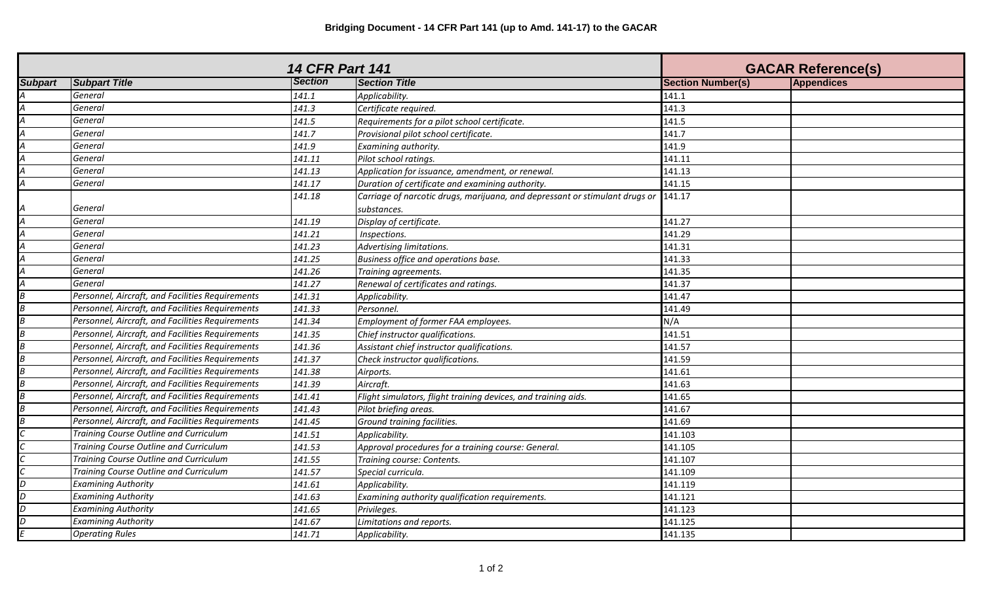|                |                                                  | <b>14 CFR Part 141</b> |                                                                                    | <b>GACAR Reference(s)</b> |            |
|----------------|--------------------------------------------------|------------------------|------------------------------------------------------------------------------------|---------------------------|------------|
| <b>Subpart</b> | <b>Subpart Title</b>                             | <b>Section</b>         | <b>Section Title</b>                                                               | <b>Section Number(s)</b>  | Appendices |
|                | General                                          | 141.1                  | Applicability.                                                                     | 141.1                     |            |
|                | General                                          | 141.3                  | Certificate required.                                                              | 141.3                     |            |
|                | General                                          | 141.5                  | Requirements for a pilot school certificate.                                       | 141.5                     |            |
|                | General                                          | 141.7                  | Provisional pilot school certificate.                                              | 141.7                     |            |
|                | General                                          | 141.9                  | Examining authority.                                                               | 141.9                     |            |
|                | General                                          | 141.11                 | Pilot school ratings.                                                              | 141.11                    |            |
|                | General                                          | 141.13                 | Application for issuance, amendment, or renewal.                                   | 141.13                    |            |
|                | General                                          | 141.17                 | Duration of certificate and examining authority.                                   | 141.15                    |            |
|                |                                                  | 141.18                 | Carriage of narcotic drugs, marijuana, and depressant or stimulant drugs or 141.17 |                           |            |
|                | General                                          |                        | substances.                                                                        |                           |            |
|                | General                                          | 141.19                 | Display of certificate.                                                            | 141.27                    |            |
|                | General                                          | 141.21                 | Inspections.                                                                       | 141.29                    |            |
|                | General                                          | 141.23                 | Advertising limitations.                                                           | 141.31                    |            |
|                | General                                          | 141.25                 | Business office and operations base.                                               | 141.33                    |            |
|                | General                                          | 141.26                 | Training agreements.                                                               | 141.35                    |            |
|                | General                                          | 141.27                 | Renewal of certificates and ratings.                                               | 141.37                    |            |
|                | Personnel, Aircraft, and Facilities Requirements | 141.31                 | Applicability.                                                                     | 141.47                    |            |
|                | Personnel, Aircraft, and Facilities Requirements | 141.33                 | Personnel.                                                                         | 141.49                    |            |
|                | Personnel, Aircraft, and Facilities Requirements | 141.34                 | Employment of former FAA employees.                                                | N/A                       |            |
|                | Personnel, Aircraft, and Facilities Requirements | 141.35                 | Chief instructor qualifications.                                                   | 141.51                    |            |
|                | Personnel, Aircraft, and Facilities Requirements | 141.36                 | Assistant chief instructor qualifications.                                         | 141.57                    |            |
|                | Personnel, Aircraft, and Facilities Requirements | 141.37                 | Check instructor qualifications.                                                   | 141.59                    |            |
|                | Personnel, Aircraft, and Facilities Requirements | 141.38                 | Airports.                                                                          | 141.61                    |            |
|                | Personnel, Aircraft, and Facilities Requirements | 141.39                 | Aircraft.                                                                          | 141.63                    |            |
|                | Personnel, Aircraft, and Facilities Requirements | 141.41                 | Flight simulators, flight training devices, and training aids.                     | 141.65                    |            |
|                | Personnel, Aircraft, and Facilities Requirements | 141.43                 | Pilot briefing areas.                                                              | 141.67                    |            |
|                | Personnel, Aircraft, and Facilities Requirements | 141.45                 | Ground training facilities.                                                        | 141.69                    |            |
|                | Training Course Outline and Curriculum           | 141.51                 | Applicability.                                                                     | 141.103                   |            |
|                | Training Course Outline and Curriculum           | 141.53                 | Approval procedures for a training course: General.                                | 141.105                   |            |
|                | Training Course Outline and Curriculum           | 141.55                 | Training course: Contents.                                                         | 141.107                   |            |
|                | Training Course Outline and Curriculum           | 141.57                 | Special curricula.                                                                 | 141.109                   |            |
| D              | <b>Examining Authority</b>                       | 141.61                 | Applicability.                                                                     | 141.119                   |            |
| D              | <b>Examining Authority</b>                       | 141.63                 | Examining authority qualification requirements.                                    | 141.121                   |            |
| D              | <b>Examining Authority</b>                       | 141.65                 | Privileges.                                                                        | 141.123                   |            |
| D              | <b>Examining Authority</b>                       | 141.67                 | Limitations and reports.                                                           | 141.125                   |            |
|                | <b>Operating Rules</b>                           | 141.71                 | Applicability.                                                                     | 141.135                   |            |